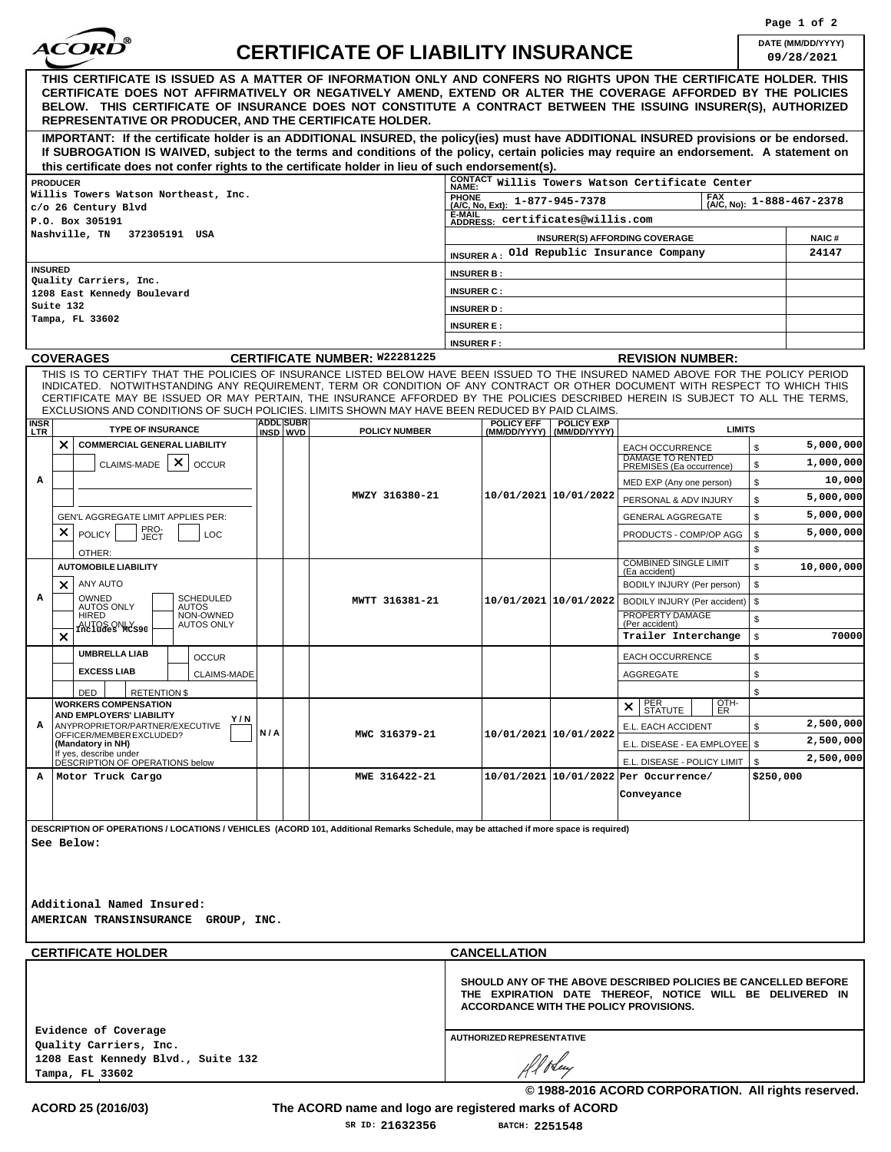

## **CERTIFICATE OF LIABILITY INSURANCE DATE (MM/DD/YYYY)**

| 9/28/2021 |  |  |  |
|-----------|--|--|--|

| DATE (MM/DD/YYYY)<br><b>CERTIFICATE OF LIABILITY INSURANCE</b><br>09/28/2021<br>THIS CERTIFICATE IS ISSUED AS A MATTER OF INFORMATION ONLY AND CONFERS NO RIGHTS UPON THE CERTIFICATE HOLDER. THIS<br>CERTIFICATE DOES NOT AFFIRMATIVELY OR NEGATIVELY AMEND, EXTEND OR ALTER THE COVERAGE AFFORDED BY THE POLICIES<br>BELOW. THIS CERTIFICATE OF INSURANCE DOES NOT CONSTITUTE A CONTRACT BETWEEN THE ISSUING INSURER(S), AUTHORIZED<br><b>REPRESENTATIVE OR PRODUCER, AND THE CERTIFICATE HOLDER.</b><br>IMPORTANT: If the certificate holder is an ADDITIONAL INSURED, the policy(ies) must have ADDITIONAL INSURED provisions or be endorsed.<br>If SUBROGATION IS WAIVED, subject to the terms and conditions of the policy, certain policies may require an endorsement. A statement on<br>this certificate does not confer rights to the certificate holder in lieu of such endorsement(s).<br><b>CONTACT</b><br>NAME:<br>Willis Towers Watson Certificate Center<br><b>PRODUCER</b><br>Willis Towers Watson Northeast, Inc.<br><b>FAX</b><br>PHONE<br>(A/C, No, Ext): 1-877-945-7378<br>1-888-467-2378<br>(A/C, No):<br>c/o 26 Century Blvd<br>E-MAIL<br>ADDRESS: Certificates@willis.com<br>P.O. Box 305191<br>Nashville, TN<br>372305191 USA<br>INSURER(S) AFFORDING COVERAGE<br><b>NAIC#</b><br>24147<br>Old Republic Insurance Company<br><b>INSURER A:</b><br><b>INSURED</b><br><b>INSURER B:</b><br>Quality Carriers, Inc.<br><b>INSURER C:</b><br>Suite 132<br><b>INSURER D:</b><br>Tampa, FL 33602<br><b>INSURER E:</b><br><b>INSURER F:</b><br><b>CERTIFICATE NUMBER: W22281225</b><br><b>COVERAGES</b><br><b>REVISION NUMBER:</b><br>THIS IS TO CERTIFY THAT THE POLICIES OF INSURANCE LISTED BELOW HAVE BEEN ISSUED TO THE INSURED NAMED ABOVE FOR THE POLICY PERIOD<br>INDICATED. NOTWITHSTANDING ANY REQUIREMENT, TERM OR CONDITION OF ANY CONTRACT OR OTHER DOCUMENT WITH RESPECT TO WHICH THIS<br>CERTIFICATE MAY BE ISSUED OR MAY PERTAIN, THE INSURANCE AFFORDED BY THE POLICIES DESCRIBED HEREIN IS SUBJECT TO ALL THE TERMS,<br>EXCLUSIONS AND CONDITIONS OF SUCH POLICIES. LIMITS SHOWN MAY HAVE BEEN REDUCED BY PAID CLAIMS.<br><b>ADDL SUBR</b><br><b>POLICY EFF</b><br><b>POLICY EXP</b><br><b>INSR</b><br><b>TYPE OF INSURANCE</b><br><b>LIMITS</b><br><b>POLICY NUMBER</b><br>(MM/DD/YYYY) (MM/DD/YYYY)<br>INSD WVD<br>$\times$<br><b>COMMERCIAL GENERAL LIABILITY</b><br>5,000,000<br>\$<br>EACH OCCURRENCE<br><b>DAMAGE TO RENTED</b><br>×<br>1,000,000<br><b>CLAIMS-MADE</b><br><b>OCCUR</b><br>\$<br>PREMISES (Ea occurrence)<br>Α<br>10,000<br>\$<br>MED EXP (Any one person)<br>10/01/2021 10/01/2022<br>MWZY 316380-21<br>5,000,000<br>\$<br>PERSONAL & ADV INJURY<br>5,000,000<br>\$<br>GEN'L AGGREGATE LIMIT APPLIES PER:<br>GENERAL AGGREGATE<br>PRO-<br>JECT<br>×<br>5,000,000<br>\$<br><b>POLICY</b><br><b>LOC</b><br>PRODUCTS - COMP/OP AGG<br>\$<br>OTHER:<br><b>COMBINED SINGLE LIMIT</b><br>\$<br><b>AUTOMOBILE LIABILITY</b><br>(Ea accident)<br>ANY AUTO<br>\$<br>$\times$<br>BODILY INJURY (Per person)<br>A<br><b>SCHEDULED</b><br>OWNED<br>10/01/2021 10/01/2022<br>MWTT 316381-21<br>\$<br>BODILY INJURY (Per accident)<br><b>AUTOS ONLY</b><br><b>AUTOS</b><br>PROPERTY DAMAGE<br><b>HIRED</b><br>NON-OWNED<br>\$<br><b>AUTOS ONLY</b><br>(Per accident)<br>AUTOS ONLY <sub>s90</sub><br>$\times$<br>\$<br>Trailer Interchange<br><b>UMBRELLA LIAB</b><br>\$<br><b>OCCUR</b><br>EACH OCCURRENCE<br><b>EXCESS LIAB</b><br>\$<br>CLAIMS-MADE<br><b>AGGREGATE</b><br>\$<br>DED<br><b>RETENTION \$</b><br>OTH-<br>PER<br>STATUTE<br><b>WORKERS COMPENSATION</b><br>$\times$<br>ER.<br>AND EMPLOYERS' LIABILITY<br>Y / N<br>2,500,000<br>ANYPROPRIETOR/PARTNER/EXECUTIVE<br>А<br>E.L. EACH ACCIDENT<br>\$<br>N/A<br>10/01/2021 10/01/2022<br>OFFICER/MEMBER EXCLUDED?<br>MWC 316379-21<br>2,500,000<br>(Mandatory in NH)<br>E.L. DISEASE - EA EMPLOYEE   \$<br>If yes, describe under<br>2,500,000<br>DÉSCRIPTION OF OPERATIONS below<br>E.L. DISEASE - POLICY LIMIT<br>\$<br>10/01/2021 10/01/2022 Per Occurrence/<br>Motor Truck Cargo<br>MWE 316422-21<br>\$250,000<br>А<br>Conveyance<br>DESCRIPTION OF OPERATIONS / LOCATIONS / VEHICLES (ACORD 101, Additional Remarks Schedule, may be attached if more space is required)<br>See Below: |                             |  |  |  |                 |                     |  |  | Page 1 of 2 |
|----------------------------------------------------------------------------------------------------------------------------------------------------------------------------------------------------------------------------------------------------------------------------------------------------------------------------------------------------------------------------------------------------------------------------------------------------------------------------------------------------------------------------------------------------------------------------------------------------------------------------------------------------------------------------------------------------------------------------------------------------------------------------------------------------------------------------------------------------------------------------------------------------------------------------------------------------------------------------------------------------------------------------------------------------------------------------------------------------------------------------------------------------------------------------------------------------------------------------------------------------------------------------------------------------------------------------------------------------------------------------------------------------------------------------------------------------------------------------------------------------------------------------------------------------------------------------------------------------------------------------------------------------------------------------------------------------------------------------------------------------------------------------------------------------------------------------------------------------------------------------------------------------------------------------------------------------------------------------------------------------------------------------------------------------------------------------------------------------------------------------------------------------------------------------------------------------------------------------------------------------------------------------------------------------------------------------------------------------------------------------------------------------------------------------------------------------------------------------------------------------------------------------------------------------------------------------------------------------------------------------------------------------------------------------------------------------------------------------------------------------------------------------------------------------------------------------------------------------------------------------------------------------------------------------------------------------------------------------------------------------------------------------------------------------------------------------------------------------------------------------------------------------------------------------------------------------------------------------------------------------------------------------------------------------------------------------------------------------------------------------------------------------------------------------------------------------------------------------------------------------------------------------------------------------------------------------------------------------------------------------------------------------------------------------------------------------------------------------------------------------------------------------------------------------------------------------------------------------------------------------------------------------------------------------------------------------------------------------------------------------------------------------------------------------------------------------------------------------------------------------------------------------------------------------------------------------------------------------------------------------------------------------------------------------|-----------------------------|--|--|--|-----------------|---------------------|--|--|-------------|
|                                                                                                                                                                                                                                                                                                                                                                                                                                                                                                                                                                                                                                                                                                                                                                                                                                                                                                                                                                                                                                                                                                                                                                                                                                                                                                                                                                                                                                                                                                                                                                                                                                                                                                                                                                                                                                                                                                                                                                                                                                                                                                                                                                                                                                                                                                                                                                                                                                                                                                                                                                                                                                                                                                                                                                                                                                                                                                                                                                                                                                                                                                                                                                                                                                                                                                                                                                                                                                                                                                                                                                                                                                                                                                                                                                                                                                                                                                                                                                                                                                                                                                                                                                                                                                                                                                    |                             |  |  |  |                 |                     |  |  |             |
|                                                                                                                                                                                                                                                                                                                                                                                                                                                                                                                                                                                                                                                                                                                                                                                                                                                                                                                                                                                                                                                                                                                                                                                                                                                                                                                                                                                                                                                                                                                                                                                                                                                                                                                                                                                                                                                                                                                                                                                                                                                                                                                                                                                                                                                                                                                                                                                                                                                                                                                                                                                                                                                                                                                                                                                                                                                                                                                                                                                                                                                                                                                                                                                                                                                                                                                                                                                                                                                                                                                                                                                                                                                                                                                                                                                                                                                                                                                                                                                                                                                                                                                                                                                                                                                                                                    |                             |  |  |  |                 |                     |  |  |             |
|                                                                                                                                                                                                                                                                                                                                                                                                                                                                                                                                                                                                                                                                                                                                                                                                                                                                                                                                                                                                                                                                                                                                                                                                                                                                                                                                                                                                                                                                                                                                                                                                                                                                                                                                                                                                                                                                                                                                                                                                                                                                                                                                                                                                                                                                                                                                                                                                                                                                                                                                                                                                                                                                                                                                                                                                                                                                                                                                                                                                                                                                                                                                                                                                                                                                                                                                                                                                                                                                                                                                                                                                                                                                                                                                                                                                                                                                                                                                                                                                                                                                                                                                                                                                                                                                                                    |                             |  |  |  |                 |                     |  |  |             |
|                                                                                                                                                                                                                                                                                                                                                                                                                                                                                                                                                                                                                                                                                                                                                                                                                                                                                                                                                                                                                                                                                                                                                                                                                                                                                                                                                                                                                                                                                                                                                                                                                                                                                                                                                                                                                                                                                                                                                                                                                                                                                                                                                                                                                                                                                                                                                                                                                                                                                                                                                                                                                                                                                                                                                                                                                                                                                                                                                                                                                                                                                                                                                                                                                                                                                                                                                                                                                                                                                                                                                                                                                                                                                                                                                                                                                                                                                                                                                                                                                                                                                                                                                                                                                                                                                                    |                             |  |  |  |                 |                     |  |  |             |
|                                                                                                                                                                                                                                                                                                                                                                                                                                                                                                                                                                                                                                                                                                                                                                                                                                                                                                                                                                                                                                                                                                                                                                                                                                                                                                                                                                                                                                                                                                                                                                                                                                                                                                                                                                                                                                                                                                                                                                                                                                                                                                                                                                                                                                                                                                                                                                                                                                                                                                                                                                                                                                                                                                                                                                                                                                                                                                                                                                                                                                                                                                                                                                                                                                                                                                                                                                                                                                                                                                                                                                                                                                                                                                                                                                                                                                                                                                                                                                                                                                                                                                                                                                                                                                                                                                    |                             |  |  |  |                 |                     |  |  |             |
|                                                                                                                                                                                                                                                                                                                                                                                                                                                                                                                                                                                                                                                                                                                                                                                                                                                                                                                                                                                                                                                                                                                                                                                                                                                                                                                                                                                                                                                                                                                                                                                                                                                                                                                                                                                                                                                                                                                                                                                                                                                                                                                                                                                                                                                                                                                                                                                                                                                                                                                                                                                                                                                                                                                                                                                                                                                                                                                                                                                                                                                                                                                                                                                                                                                                                                                                                                                                                                                                                                                                                                                                                                                                                                                                                                                                                                                                                                                                                                                                                                                                                                                                                                                                                                                                                                    |                             |  |  |  |                 |                     |  |  |             |
|                                                                                                                                                                                                                                                                                                                                                                                                                                                                                                                                                                                                                                                                                                                                                                                                                                                                                                                                                                                                                                                                                                                                                                                                                                                                                                                                                                                                                                                                                                                                                                                                                                                                                                                                                                                                                                                                                                                                                                                                                                                                                                                                                                                                                                                                                                                                                                                                                                                                                                                                                                                                                                                                                                                                                                                                                                                                                                                                                                                                                                                                                                                                                                                                                                                                                                                                                                                                                                                                                                                                                                                                                                                                                                                                                                                                                                                                                                                                                                                                                                                                                                                                                                                                                                                                                                    |                             |  |  |  |                 |                     |  |  |             |
|                                                                                                                                                                                                                                                                                                                                                                                                                                                                                                                                                                                                                                                                                                                                                                                                                                                                                                                                                                                                                                                                                                                                                                                                                                                                                                                                                                                                                                                                                                                                                                                                                                                                                                                                                                                                                                                                                                                                                                                                                                                                                                                                                                                                                                                                                                                                                                                                                                                                                                                                                                                                                                                                                                                                                                                                                                                                                                                                                                                                                                                                                                                                                                                                                                                                                                                                                                                                                                                                                                                                                                                                                                                                                                                                                                                                                                                                                                                                                                                                                                                                                                                                                                                                                                                                                                    |                             |  |  |  |                 |                     |  |  |             |
|                                                                                                                                                                                                                                                                                                                                                                                                                                                                                                                                                                                                                                                                                                                                                                                                                                                                                                                                                                                                                                                                                                                                                                                                                                                                                                                                                                                                                                                                                                                                                                                                                                                                                                                                                                                                                                                                                                                                                                                                                                                                                                                                                                                                                                                                                                                                                                                                                                                                                                                                                                                                                                                                                                                                                                                                                                                                                                                                                                                                                                                                                                                                                                                                                                                                                                                                                                                                                                                                                                                                                                                                                                                                                                                                                                                                                                                                                                                                                                                                                                                                                                                                                                                                                                                                                                    |                             |  |  |  |                 |                     |  |  |             |
|                                                                                                                                                                                                                                                                                                                                                                                                                                                                                                                                                                                                                                                                                                                                                                                                                                                                                                                                                                                                                                                                                                                                                                                                                                                                                                                                                                                                                                                                                                                                                                                                                                                                                                                                                                                                                                                                                                                                                                                                                                                                                                                                                                                                                                                                                                                                                                                                                                                                                                                                                                                                                                                                                                                                                                                                                                                                                                                                                                                                                                                                                                                                                                                                                                                                                                                                                                                                                                                                                                                                                                                                                                                                                                                                                                                                                                                                                                                                                                                                                                                                                                                                                                                                                                                                                                    | 1208 East Kennedy Boulevard |  |  |  |                 |                     |  |  |             |
|                                                                                                                                                                                                                                                                                                                                                                                                                                                                                                                                                                                                                                                                                                                                                                                                                                                                                                                                                                                                                                                                                                                                                                                                                                                                                                                                                                                                                                                                                                                                                                                                                                                                                                                                                                                                                                                                                                                                                                                                                                                                                                                                                                                                                                                                                                                                                                                                                                                                                                                                                                                                                                                                                                                                                                                                                                                                                                                                                                                                                                                                                                                                                                                                                                                                                                                                                                                                                                                                                                                                                                                                                                                                                                                                                                                                                                                                                                                                                                                                                                                                                                                                                                                                                                                                                                    |                             |  |  |  |                 |                     |  |  |             |
|                                                                                                                                                                                                                                                                                                                                                                                                                                                                                                                                                                                                                                                                                                                                                                                                                                                                                                                                                                                                                                                                                                                                                                                                                                                                                                                                                                                                                                                                                                                                                                                                                                                                                                                                                                                                                                                                                                                                                                                                                                                                                                                                                                                                                                                                                                                                                                                                                                                                                                                                                                                                                                                                                                                                                                                                                                                                                                                                                                                                                                                                                                                                                                                                                                                                                                                                                                                                                                                                                                                                                                                                                                                                                                                                                                                                                                                                                                                                                                                                                                                                                                                                                                                                                                                                                                    |                             |  |  |  |                 |                     |  |  |             |
|                                                                                                                                                                                                                                                                                                                                                                                                                                                                                                                                                                                                                                                                                                                                                                                                                                                                                                                                                                                                                                                                                                                                                                                                                                                                                                                                                                                                                                                                                                                                                                                                                                                                                                                                                                                                                                                                                                                                                                                                                                                                                                                                                                                                                                                                                                                                                                                                                                                                                                                                                                                                                                                                                                                                                                                                                                                                                                                                                                                                                                                                                                                                                                                                                                                                                                                                                                                                                                                                                                                                                                                                                                                                                                                                                                                                                                                                                                                                                                                                                                                                                                                                                                                                                                                                                                    |                             |  |  |  |                 |                     |  |  |             |
|                                                                                                                                                                                                                                                                                                                                                                                                                                                                                                                                                                                                                                                                                                                                                                                                                                                                                                                                                                                                                                                                                                                                                                                                                                                                                                                                                                                                                                                                                                                                                                                                                                                                                                                                                                                                                                                                                                                                                                                                                                                                                                                                                                                                                                                                                                                                                                                                                                                                                                                                                                                                                                                                                                                                                                                                                                                                                                                                                                                                                                                                                                                                                                                                                                                                                                                                                                                                                                                                                                                                                                                                                                                                                                                                                                                                                                                                                                                                                                                                                                                                                                                                                                                                                                                                                                    |                             |  |  |  |                 |                     |  |  |             |
|                                                                                                                                                                                                                                                                                                                                                                                                                                                                                                                                                                                                                                                                                                                                                                                                                                                                                                                                                                                                                                                                                                                                                                                                                                                                                                                                                                                                                                                                                                                                                                                                                                                                                                                                                                                                                                                                                                                                                                                                                                                                                                                                                                                                                                                                                                                                                                                                                                                                                                                                                                                                                                                                                                                                                                                                                                                                                                                                                                                                                                                                                                                                                                                                                                                                                                                                                                                                                                                                                                                                                                                                                                                                                                                                                                                                                                                                                                                                                                                                                                                                                                                                                                                                                                                                                                    | LTR                         |  |  |  |                 |                     |  |  |             |
|                                                                                                                                                                                                                                                                                                                                                                                                                                                                                                                                                                                                                                                                                                                                                                                                                                                                                                                                                                                                                                                                                                                                                                                                                                                                                                                                                                                                                                                                                                                                                                                                                                                                                                                                                                                                                                                                                                                                                                                                                                                                                                                                                                                                                                                                                                                                                                                                                                                                                                                                                                                                                                                                                                                                                                                                                                                                                                                                                                                                                                                                                                                                                                                                                                                                                                                                                                                                                                                                                                                                                                                                                                                                                                                                                                                                                                                                                                                                                                                                                                                                                                                                                                                                                                                                                                    |                             |  |  |  |                 |                     |  |  |             |
|                                                                                                                                                                                                                                                                                                                                                                                                                                                                                                                                                                                                                                                                                                                                                                                                                                                                                                                                                                                                                                                                                                                                                                                                                                                                                                                                                                                                                                                                                                                                                                                                                                                                                                                                                                                                                                                                                                                                                                                                                                                                                                                                                                                                                                                                                                                                                                                                                                                                                                                                                                                                                                                                                                                                                                                                                                                                                                                                                                                                                                                                                                                                                                                                                                                                                                                                                                                                                                                                                                                                                                                                                                                                                                                                                                                                                                                                                                                                                                                                                                                                                                                                                                                                                                                                                                    |                             |  |  |  |                 |                     |  |  |             |
|                                                                                                                                                                                                                                                                                                                                                                                                                                                                                                                                                                                                                                                                                                                                                                                                                                                                                                                                                                                                                                                                                                                                                                                                                                                                                                                                                                                                                                                                                                                                                                                                                                                                                                                                                                                                                                                                                                                                                                                                                                                                                                                                                                                                                                                                                                                                                                                                                                                                                                                                                                                                                                                                                                                                                                                                                                                                                                                                                                                                                                                                                                                                                                                                                                                                                                                                                                                                                                                                                                                                                                                                                                                                                                                                                                                                                                                                                                                                                                                                                                                                                                                                                                                                                                                                                                    |                             |  |  |  |                 |                     |  |  |             |
|                                                                                                                                                                                                                                                                                                                                                                                                                                                                                                                                                                                                                                                                                                                                                                                                                                                                                                                                                                                                                                                                                                                                                                                                                                                                                                                                                                                                                                                                                                                                                                                                                                                                                                                                                                                                                                                                                                                                                                                                                                                                                                                                                                                                                                                                                                                                                                                                                                                                                                                                                                                                                                                                                                                                                                                                                                                                                                                                                                                                                                                                                                                                                                                                                                                                                                                                                                                                                                                                                                                                                                                                                                                                                                                                                                                                                                                                                                                                                                                                                                                                                                                                                                                                                                                                                                    |                             |  |  |  |                 |                     |  |  |             |
|                                                                                                                                                                                                                                                                                                                                                                                                                                                                                                                                                                                                                                                                                                                                                                                                                                                                                                                                                                                                                                                                                                                                                                                                                                                                                                                                                                                                                                                                                                                                                                                                                                                                                                                                                                                                                                                                                                                                                                                                                                                                                                                                                                                                                                                                                                                                                                                                                                                                                                                                                                                                                                                                                                                                                                                                                                                                                                                                                                                                                                                                                                                                                                                                                                                                                                                                                                                                                                                                                                                                                                                                                                                                                                                                                                                                                                                                                                                                                                                                                                                                                                                                                                                                                                                                                                    |                             |  |  |  |                 |                     |  |  |             |
|                                                                                                                                                                                                                                                                                                                                                                                                                                                                                                                                                                                                                                                                                                                                                                                                                                                                                                                                                                                                                                                                                                                                                                                                                                                                                                                                                                                                                                                                                                                                                                                                                                                                                                                                                                                                                                                                                                                                                                                                                                                                                                                                                                                                                                                                                                                                                                                                                                                                                                                                                                                                                                                                                                                                                                                                                                                                                                                                                                                                                                                                                                                                                                                                                                                                                                                                                                                                                                                                                                                                                                                                                                                                                                                                                                                                                                                                                                                                                                                                                                                                                                                                                                                                                                                                                                    |                             |  |  |  |                 |                     |  |  |             |
|                                                                                                                                                                                                                                                                                                                                                                                                                                                                                                                                                                                                                                                                                                                                                                                                                                                                                                                                                                                                                                                                                                                                                                                                                                                                                                                                                                                                                                                                                                                                                                                                                                                                                                                                                                                                                                                                                                                                                                                                                                                                                                                                                                                                                                                                                                                                                                                                                                                                                                                                                                                                                                                                                                                                                                                                                                                                                                                                                                                                                                                                                                                                                                                                                                                                                                                                                                                                                                                                                                                                                                                                                                                                                                                                                                                                                                                                                                                                                                                                                                                                                                                                                                                                                                                                                                    |                             |  |  |  |                 |                     |  |  | 10,000,000  |
|                                                                                                                                                                                                                                                                                                                                                                                                                                                                                                                                                                                                                                                                                                                                                                                                                                                                                                                                                                                                                                                                                                                                                                                                                                                                                                                                                                                                                                                                                                                                                                                                                                                                                                                                                                                                                                                                                                                                                                                                                                                                                                                                                                                                                                                                                                                                                                                                                                                                                                                                                                                                                                                                                                                                                                                                                                                                                                                                                                                                                                                                                                                                                                                                                                                                                                                                                                                                                                                                                                                                                                                                                                                                                                                                                                                                                                                                                                                                                                                                                                                                                                                                                                                                                                                                                                    |                             |  |  |  |                 |                     |  |  |             |
|                                                                                                                                                                                                                                                                                                                                                                                                                                                                                                                                                                                                                                                                                                                                                                                                                                                                                                                                                                                                                                                                                                                                                                                                                                                                                                                                                                                                                                                                                                                                                                                                                                                                                                                                                                                                                                                                                                                                                                                                                                                                                                                                                                                                                                                                                                                                                                                                                                                                                                                                                                                                                                                                                                                                                                                                                                                                                                                                                                                                                                                                                                                                                                                                                                                                                                                                                                                                                                                                                                                                                                                                                                                                                                                                                                                                                                                                                                                                                                                                                                                                                                                                                                                                                                                                                                    |                             |  |  |  |                 |                     |  |  |             |
|                                                                                                                                                                                                                                                                                                                                                                                                                                                                                                                                                                                                                                                                                                                                                                                                                                                                                                                                                                                                                                                                                                                                                                                                                                                                                                                                                                                                                                                                                                                                                                                                                                                                                                                                                                                                                                                                                                                                                                                                                                                                                                                                                                                                                                                                                                                                                                                                                                                                                                                                                                                                                                                                                                                                                                                                                                                                                                                                                                                                                                                                                                                                                                                                                                                                                                                                                                                                                                                                                                                                                                                                                                                                                                                                                                                                                                                                                                                                                                                                                                                                                                                                                                                                                                                                                                    |                             |  |  |  |                 |                     |  |  |             |
|                                                                                                                                                                                                                                                                                                                                                                                                                                                                                                                                                                                                                                                                                                                                                                                                                                                                                                                                                                                                                                                                                                                                                                                                                                                                                                                                                                                                                                                                                                                                                                                                                                                                                                                                                                                                                                                                                                                                                                                                                                                                                                                                                                                                                                                                                                                                                                                                                                                                                                                                                                                                                                                                                                                                                                                                                                                                                                                                                                                                                                                                                                                                                                                                                                                                                                                                                                                                                                                                                                                                                                                                                                                                                                                                                                                                                                                                                                                                                                                                                                                                                                                                                                                                                                                                                                    |                             |  |  |  |                 |                     |  |  | 70000       |
|                                                                                                                                                                                                                                                                                                                                                                                                                                                                                                                                                                                                                                                                                                                                                                                                                                                                                                                                                                                                                                                                                                                                                                                                                                                                                                                                                                                                                                                                                                                                                                                                                                                                                                                                                                                                                                                                                                                                                                                                                                                                                                                                                                                                                                                                                                                                                                                                                                                                                                                                                                                                                                                                                                                                                                                                                                                                                                                                                                                                                                                                                                                                                                                                                                                                                                                                                                                                                                                                                                                                                                                                                                                                                                                                                                                                                                                                                                                                                                                                                                                                                                                                                                                                                                                                                                    |                             |  |  |  |                 |                     |  |  |             |
|                                                                                                                                                                                                                                                                                                                                                                                                                                                                                                                                                                                                                                                                                                                                                                                                                                                                                                                                                                                                                                                                                                                                                                                                                                                                                                                                                                                                                                                                                                                                                                                                                                                                                                                                                                                                                                                                                                                                                                                                                                                                                                                                                                                                                                                                                                                                                                                                                                                                                                                                                                                                                                                                                                                                                                                                                                                                                                                                                                                                                                                                                                                                                                                                                                                                                                                                                                                                                                                                                                                                                                                                                                                                                                                                                                                                                                                                                                                                                                                                                                                                                                                                                                                                                                                                                                    |                             |  |  |  |                 |                     |  |  |             |
|                                                                                                                                                                                                                                                                                                                                                                                                                                                                                                                                                                                                                                                                                                                                                                                                                                                                                                                                                                                                                                                                                                                                                                                                                                                                                                                                                                                                                                                                                                                                                                                                                                                                                                                                                                                                                                                                                                                                                                                                                                                                                                                                                                                                                                                                                                                                                                                                                                                                                                                                                                                                                                                                                                                                                                                                                                                                                                                                                                                                                                                                                                                                                                                                                                                                                                                                                                                                                                                                                                                                                                                                                                                                                                                                                                                                                                                                                                                                                                                                                                                                                                                                                                                                                                                                                                    |                             |  |  |  |                 |                     |  |  |             |
|                                                                                                                                                                                                                                                                                                                                                                                                                                                                                                                                                                                                                                                                                                                                                                                                                                                                                                                                                                                                                                                                                                                                                                                                                                                                                                                                                                                                                                                                                                                                                                                                                                                                                                                                                                                                                                                                                                                                                                                                                                                                                                                                                                                                                                                                                                                                                                                                                                                                                                                                                                                                                                                                                                                                                                                                                                                                                                                                                                                                                                                                                                                                                                                                                                                                                                                                                                                                                                                                                                                                                                                                                                                                                                                                                                                                                                                                                                                                                                                                                                                                                                                                                                                                                                                                                                    |                             |  |  |  |                 |                     |  |  |             |
|                                                                                                                                                                                                                                                                                                                                                                                                                                                                                                                                                                                                                                                                                                                                                                                                                                                                                                                                                                                                                                                                                                                                                                                                                                                                                                                                                                                                                                                                                                                                                                                                                                                                                                                                                                                                                                                                                                                                                                                                                                                                                                                                                                                                                                                                                                                                                                                                                                                                                                                                                                                                                                                                                                                                                                                                                                                                                                                                                                                                                                                                                                                                                                                                                                                                                                                                                                                                                                                                                                                                                                                                                                                                                                                                                                                                                                                                                                                                                                                                                                                                                                                                                                                                                                                                                                    |                             |  |  |  |                 |                     |  |  |             |
|                                                                                                                                                                                                                                                                                                                                                                                                                                                                                                                                                                                                                                                                                                                                                                                                                                                                                                                                                                                                                                                                                                                                                                                                                                                                                                                                                                                                                                                                                                                                                                                                                                                                                                                                                                                                                                                                                                                                                                                                                                                                                                                                                                                                                                                                                                                                                                                                                                                                                                                                                                                                                                                                                                                                                                                                                                                                                                                                                                                                                                                                                                                                                                                                                                                                                                                                                                                                                                                                                                                                                                                                                                                                                                                                                                                                                                                                                                                                                                                                                                                                                                                                                                                                                                                                                                    |                             |  |  |  |                 |                     |  |  |             |
|                                                                                                                                                                                                                                                                                                                                                                                                                                                                                                                                                                                                                                                                                                                                                                                                                                                                                                                                                                                                                                                                                                                                                                                                                                                                                                                                                                                                                                                                                                                                                                                                                                                                                                                                                                                                                                                                                                                                                                                                                                                                                                                                                                                                                                                                                                                                                                                                                                                                                                                                                                                                                                                                                                                                                                                                                                                                                                                                                                                                                                                                                                                                                                                                                                                                                                                                                                                                                                                                                                                                                                                                                                                                                                                                                                                                                                                                                                                                                                                                                                                                                                                                                                                                                                                                                                    |                             |  |  |  |                 |                     |  |  |             |
|                                                                                                                                                                                                                                                                                                                                                                                                                                                                                                                                                                                                                                                                                                                                                                                                                                                                                                                                                                                                                                                                                                                                                                                                                                                                                                                                                                                                                                                                                                                                                                                                                                                                                                                                                                                                                                                                                                                                                                                                                                                                                                                                                                                                                                                                                                                                                                                                                                                                                                                                                                                                                                                                                                                                                                                                                                                                                                                                                                                                                                                                                                                                                                                                                                                                                                                                                                                                                                                                                                                                                                                                                                                                                                                                                                                                                                                                                                                                                                                                                                                                                                                                                                                                                                                                                                    |                             |  |  |  |                 |                     |  |  |             |
|                                                                                                                                                                                                                                                                                                                                                                                                                                                                                                                                                                                                                                                                                                                                                                                                                                                                                                                                                                                                                                                                                                                                                                                                                                                                                                                                                                                                                                                                                                                                                                                                                                                                                                                                                                                                                                                                                                                                                                                                                                                                                                                                                                                                                                                                                                                                                                                                                                                                                                                                                                                                                                                                                                                                                                                                                                                                                                                                                                                                                                                                                                                                                                                                                                                                                                                                                                                                                                                                                                                                                                                                                                                                                                                                                                                                                                                                                                                                                                                                                                                                                                                                                                                                                                                                                                    |                             |  |  |  |                 |                     |  |  |             |
|                                                                                                                                                                                                                                                                                                                                                                                                                                                                                                                                                                                                                                                                                                                                                                                                                                                                                                                                                                                                                                                                                                                                                                                                                                                                                                                                                                                                                                                                                                                                                                                                                                                                                                                                                                                                                                                                                                                                                                                                                                                                                                                                                                                                                                                                                                                                                                                                                                                                                                                                                                                                                                                                                                                                                                                                                                                                                                                                                                                                                                                                                                                                                                                                                                                                                                                                                                                                                                                                                                                                                                                                                                                                                                                                                                                                                                                                                                                                                                                                                                                                                                                                                                                                                                                                                                    |                             |  |  |  |                 |                     |  |  |             |
| Additional Named Insured:<br>AMERICAN TRANSINSURANCE GROUP, INC.                                                                                                                                                                                                                                                                                                                                                                                                                                                                                                                                                                                                                                                                                                                                                                                                                                                                                                                                                                                                                                                                                                                                                                                                                                                                                                                                                                                                                                                                                                                                                                                                                                                                                                                                                                                                                                                                                                                                                                                                                                                                                                                                                                                                                                                                                                                                                                                                                                                                                                                                                                                                                                                                                                                                                                                                                                                                                                                                                                                                                                                                                                                                                                                                                                                                                                                                                                                                                                                                                                                                                                                                                                                                                                                                                                                                                                                                                                                                                                                                                                                                                                                                                                                                                                   |                             |  |  |  |                 | <b>CANCELLATION</b> |  |  |             |
| <b>CERTIFICATE HOLDER</b>                                                                                                                                                                                                                                                                                                                                                                                                                                                                                                                                                                                                                                                                                                                                                                                                                                                                                                                                                                                                                                                                                                                                                                                                                                                                                                                                                                                                                                                                                                                                                                                                                                                                                                                                                                                                                                                                                                                                                                                                                                                                                                                                                                                                                                                                                                                                                                                                                                                                                                                                                                                                                                                                                                                                                                                                                                                                                                                                                                                                                                                                                                                                                                                                                                                                                                                                                                                                                                                                                                                                                                                                                                                                                                                                                                                                                                                                                                                                                                                                                                                                                                                                                                                                                                                                          |                             |  |  |  |                 |                     |  |  |             |
| SHOULD ANY OF THE ABOVE DESCRIBED POLICIES BE CANCELLED BEFORE<br>THE EXPIRATION DATE THEREOF, NOTICE WILL BE DELIVERED IN<br>ACCORDANCE WITH THE POLICY PROVISIONS.                                                                                                                                                                                                                                                                                                                                                                                                                                                                                                                                                                                                                                                                                                                                                                                                                                                                                                                                                                                                                                                                                                                                                                                                                                                                                                                                                                                                                                                                                                                                                                                                                                                                                                                                                                                                                                                                                                                                                                                                                                                                                                                                                                                                                                                                                                                                                                                                                                                                                                                                                                                                                                                                                                                                                                                                                                                                                                                                                                                                                                                                                                                                                                                                                                                                                                                                                                                                                                                                                                                                                                                                                                                                                                                                                                                                                                                                                                                                                                                                                                                                                                                               |                             |  |  |  |                 |                     |  |  |             |
| Evidence of Coverage                                                                                                                                                                                                                                                                                                                                                                                                                                                                                                                                                                                                                                                                                                                                                                                                                                                                                                                                                                                                                                                                                                                                                                                                                                                                                                                                                                                                                                                                                                                                                                                                                                                                                                                                                                                                                                                                                                                                                                                                                                                                                                                                                                                                                                                                                                                                                                                                                                                                                                                                                                                                                                                                                                                                                                                                                                                                                                                                                                                                                                                                                                                                                                                                                                                                                                                                                                                                                                                                                                                                                                                                                                                                                                                                                                                                                                                                                                                                                                                                                                                                                                                                                                                                                                                                               |                             |  |  |  |                 |                     |  |  |             |
| AUTHORIZED REPRESENTATIVE<br>Quality Carriers, Inc.                                                                                                                                                                                                                                                                                                                                                                                                                                                                                                                                                                                                                                                                                                                                                                                                                                                                                                                                                                                                                                                                                                                                                                                                                                                                                                                                                                                                                                                                                                                                                                                                                                                                                                                                                                                                                                                                                                                                                                                                                                                                                                                                                                                                                                                                                                                                                                                                                                                                                                                                                                                                                                                                                                                                                                                                                                                                                                                                                                                                                                                                                                                                                                                                                                                                                                                                                                                                                                                                                                                                                                                                                                                                                                                                                                                                                                                                                                                                                                                                                                                                                                                                                                                                                                                |                             |  |  |  |                 |                     |  |  |             |
| 1208 East Kennedy Blvd., Suite 132<br>Y Keey<br>Tampa, FL 33602                                                                                                                                                                                                                                                                                                                                                                                                                                                                                                                                                                                                                                                                                                                                                                                                                                                                                                                                                                                                                                                                                                                                                                                                                                                                                                                                                                                                                                                                                                                                                                                                                                                                                                                                                                                                                                                                                                                                                                                                                                                                                                                                                                                                                                                                                                                                                                                                                                                                                                                                                                                                                                                                                                                                                                                                                                                                                                                                                                                                                                                                                                                                                                                                                                                                                                                                                                                                                                                                                                                                                                                                                                                                                                                                                                                                                                                                                                                                                                                                                                                                                                                                                                                                                                    |                             |  |  |  |                 |                     |  |  |             |
| © 1988-2016 ACORD CORPORATION. All rights reserved.                                                                                                                                                                                                                                                                                                                                                                                                                                                                                                                                                                                                                                                                                                                                                                                                                                                                                                                                                                                                                                                                                                                                                                                                                                                                                                                                                                                                                                                                                                                                                                                                                                                                                                                                                                                                                                                                                                                                                                                                                                                                                                                                                                                                                                                                                                                                                                                                                                                                                                                                                                                                                                                                                                                                                                                                                                                                                                                                                                                                                                                                                                                                                                                                                                                                                                                                                                                                                                                                                                                                                                                                                                                                                                                                                                                                                                                                                                                                                                                                                                                                                                                                                                                                                                                |                             |  |  |  |                 |                     |  |  |             |
| ACORD 25 (2016/03)<br>The ACORD name and logo are registered marks of ACORD                                                                                                                                                                                                                                                                                                                                                                                                                                                                                                                                                                                                                                                                                                                                                                                                                                                                                                                                                                                                                                                                                                                                                                                                                                                                                                                                                                                                                                                                                                                                                                                                                                                                                                                                                                                                                                                                                                                                                                                                                                                                                                                                                                                                                                                                                                                                                                                                                                                                                                                                                                                                                                                                                                                                                                                                                                                                                                                                                                                                                                                                                                                                                                                                                                                                                                                                                                                                                                                                                                                                                                                                                                                                                                                                                                                                                                                                                                                                                                                                                                                                                                                                                                                                                        |                             |  |  |  | SR ID: 21632356 | BATCH: 2251548      |  |  |             |